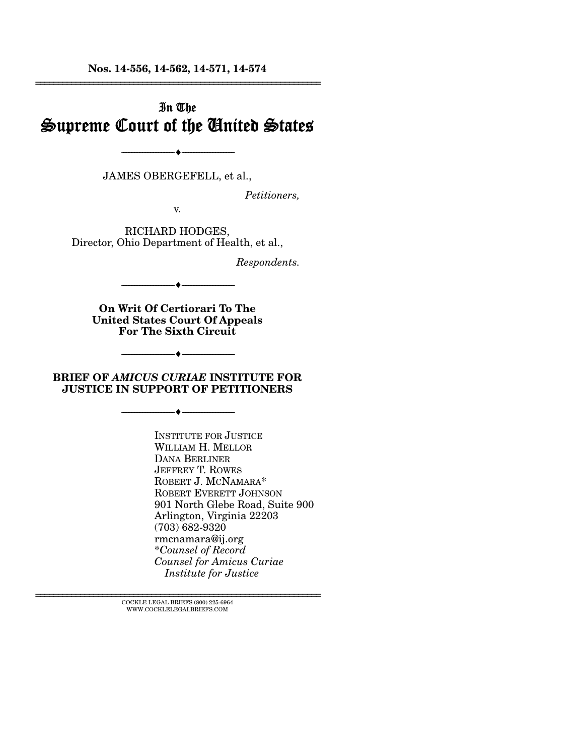**Nos. 14-556, 14-562, 14-571, 14-574**  ================================================================

# In The Supreme Court of the United States

JAMES OBERGEFELL, et al.,

--------------------------------- ---------------------------------

*Petitioners,* 

v.

RICHARD HODGES, Director, Ohio Department of Health, et al.,

*Respondents.* 

--------------------------------- ---------------------------------

**On Writ Of Certiorari To The United States Court Of Appeals For The Sixth Circuit** 

### **BRIEF OF** *AMICUS CURIAE* **INSTITUTE FOR JUSTICE IN SUPPORT OF PETITIONERS**

--------------------------------- ---------------------------------

--------------------------------- ---------------------------------

 INSTITUTE FOR JUSTICE WILLIAM H. MELLOR DANA BERLINER **JEFFREY T. ROWES** ROBERT J. MCNAMARA\* ROBERT EVERETT JOHNSON 901 North Glebe Road, Suite 900 Arlington, Virginia 22203 (703) 682-9320 rmcnamara@ij.org \* *Counsel of Record Counsel for Amicus Curiae Institute for Justice* 

 $\textsc{COCKLE}$  LEGAL BRIEFS (800) 225-6964 WWW.COCKLELEGALBRIEFS.COM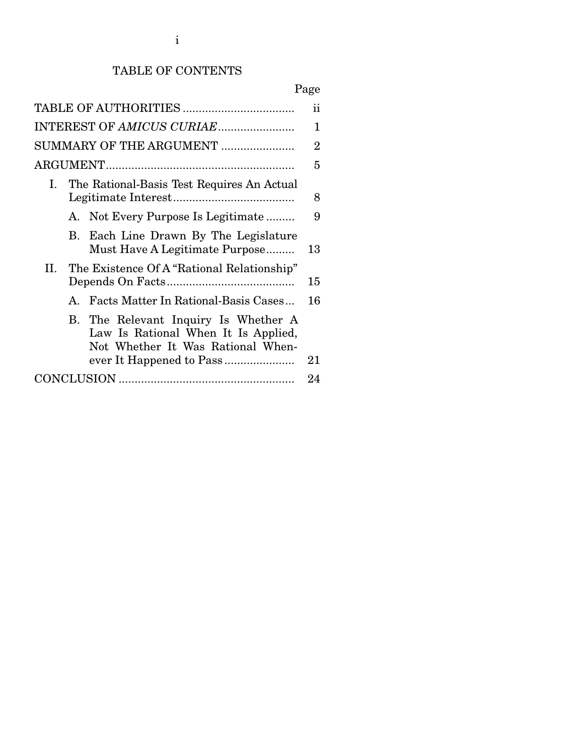### TABLE OF CONTENTS

# Page

|    |                                               | SUMMARY OF THE ARGUMENT                                                                                          | $\overline{2}$ |  |  |
|----|-----------------------------------------------|------------------------------------------------------------------------------------------------------------------|----------------|--|--|
|    |                                               |                                                                                                                  |                |  |  |
|    | I. The Rational-Basis Test Requires An Actual |                                                                                                                  |                |  |  |
|    |                                               | A. Not Every Purpose Is Legitimate                                                                               | 9              |  |  |
|    |                                               | B. Each Line Drawn By The Legislature<br>Must Have A Legitimate Purpose                                          | 13             |  |  |
| H. |                                               | The Existence Of A "Rational Relationship"                                                                       | 15             |  |  |
|    |                                               | A. Facts Matter In Rational-Basis Cases                                                                          | 16             |  |  |
|    |                                               | B. The Relevant Inquiry Is Whether A<br>Law Is Rational When It Is Applied,<br>Not Whether It Was Rational When- |                |  |  |
|    |                                               |                                                                                                                  | 21             |  |  |
|    |                                               |                                                                                                                  |                |  |  |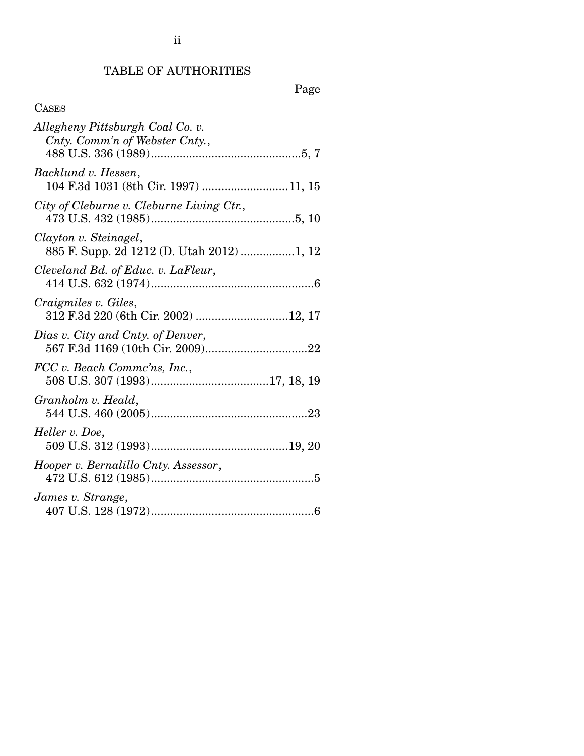# ii

#### TABLE OF AUTHORITIES

# Page

<span id="page-2-0"></span>

| Allegheny Pittsburgh Coal Co. v.<br>Cnty. Comm'n of Webster Cnty., |
|--------------------------------------------------------------------|
| Backlund v. Hessen,<br>104 F.3d 1031 (8th Cir. 1997) 11, 15        |
| City of Cleburne v. Cleburne Living Ctr.,                          |
| Clayton v. Steinagel,<br>885 F. Supp. 2d 1212 (D. Utah 2012) 1, 12 |
| Cleveland Bd. of Educ. v. LaFleur,                                 |
| Craigmiles v. Giles,<br>312 F.3d 220 (6th Cir. 2002) 12, 17        |
| Dias v. City and Cnty. of Denver,                                  |
| FCC v. Beach Commc'ns, Inc.,                                       |
| Granholm v. Heald,                                                 |
| Heller v. Doe,                                                     |
| Hooper v. Bernalillo Cnty. Assessor,                               |
| James v. Strange,                                                  |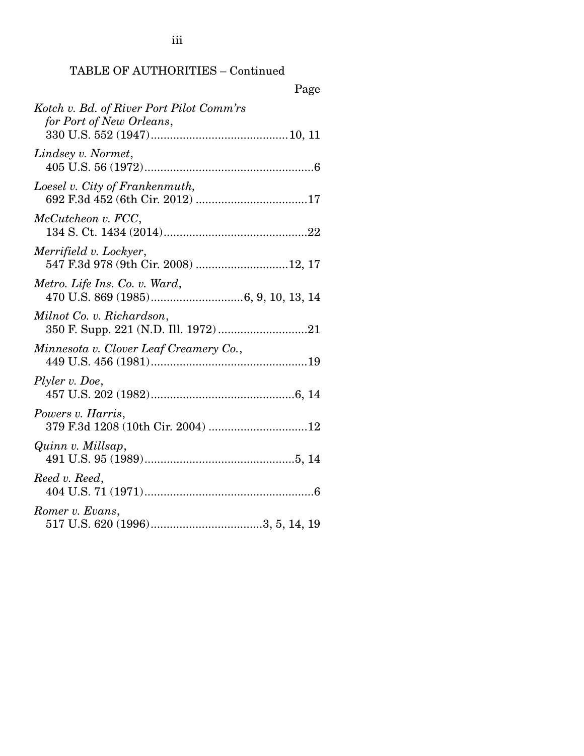#### TABLE OF AUTHORITIES – Continued

| Page                                                                 |
|----------------------------------------------------------------------|
| Kotch v. Bd. of River Port Pilot Comm'rs<br>for Port of New Orleans, |
| Lindsey v. Normet,                                                   |
| Loesel v. City of Frankenmuth,                                       |
| McCutcheon v. FCC,                                                   |
| Merrifield v. Lockyer,<br>547 F.3d 978 (9th Cir. 2008) 12, 17        |
| Metro. Life Ins. Co. v. Ward,                                        |
| Milnot Co. v. Richardson,                                            |
| Minnesota v. Clover Leaf Creamery Co.,                               |
| Plyler v. Doe,                                                       |
| Powers v. Harris,                                                    |
| Quinn v. Millsap,                                                    |
| Reed v. Reed,                                                        |
| Romer v. Evans,                                                      |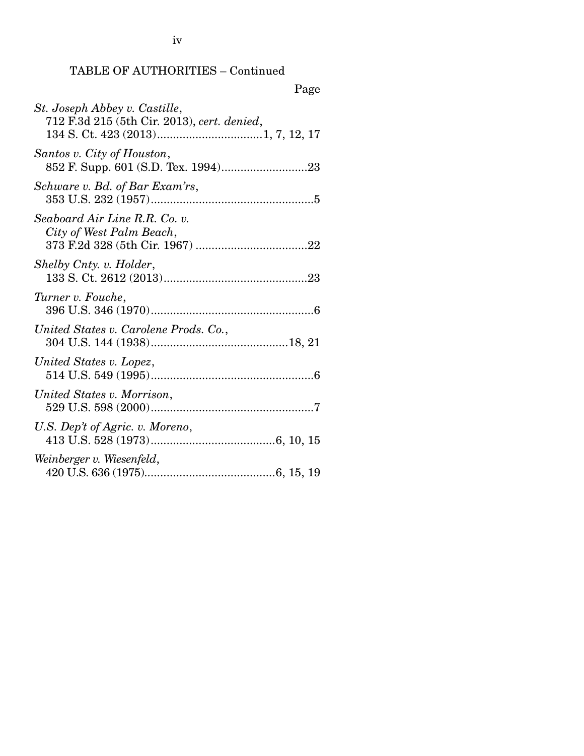# TABLE OF AUTHORITIES – Continued

|--|

| St. Joseph Abbey v. Castille,<br>712 F.3d 215 (5th Cir. 2013), cert. denied, |
|------------------------------------------------------------------------------|
| Santos v. City of Houston,                                                   |
| Schware v. Bd. of Bar Exam'rs,                                               |
| Seaboard Air Line R.R. Co. v.<br>City of West Palm Beach,                    |
| Shelby Cnty. v. Holder,                                                      |
| Turner v. Fouche,                                                            |
| United States v. Carolene Prods. Co.,                                        |
| United States v. Lopez,                                                      |
| United States v. Morrison,                                                   |
| U.S. Dep't of Agric. v. Moreno,                                              |
| Weinberger v. Wiesenfeld,                                                    |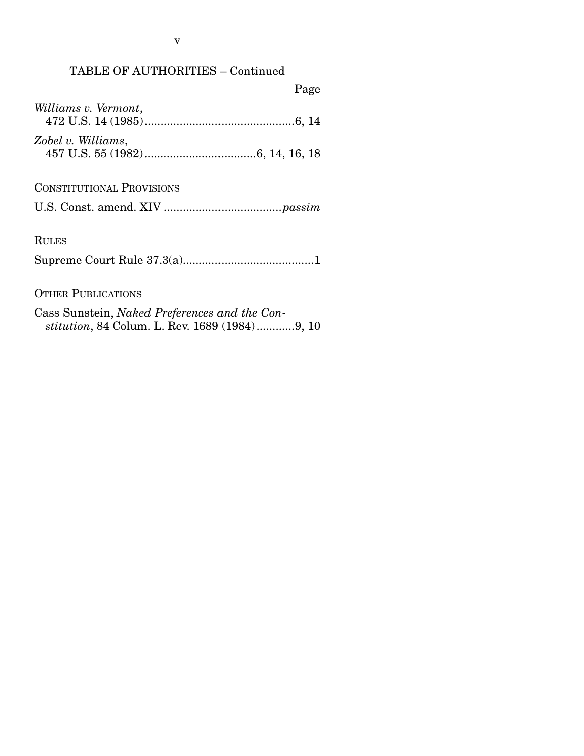## TABLE OF AUTHORITIES – Continued

# Page

| Williams v. Vermont, |  |
|----------------------|--|
|                      |  |
|                      |  |
| Zobel v. Williams,   |  |
|                      |  |

### CONSTITUTIONAL PROVISIONS

|--|--|--|--|--|

## RULES

Supreme Court Rule 37.3(a)......................................... 1

### OTHER PUBLICATIONS

Cass Sunstein, *Naked Preferences and the Constitution*, 84 Colum. L. Rev. 1689 (1984) ............ 9, 10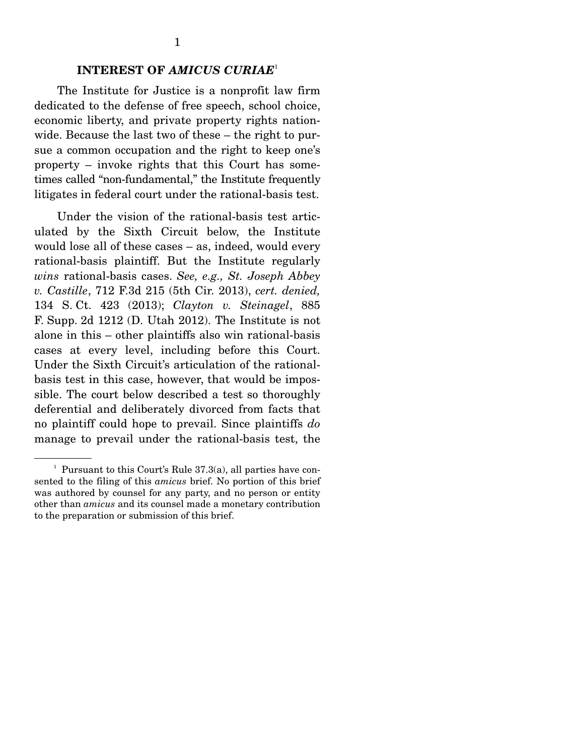## **INTEREST OF** *AMICUS CURIAE*<sup>1</sup>

<span id="page-6-0"></span>The Institute for Justice is a nonprofit law firm dedicated to the defense of free speech, school choice, economic liberty, and private property rights nationwide. Because the last two of these – the right to pursue a common occupation and the right to keep one's property – invoke rights that this Court has sometimes called "non-fundamental," the Institute frequently litigates in federal court under the rational-basis test.

Under the vision of the rational-basis test articulated by the Sixth Circuit below, the Institute would lose all of these cases – as, indeed, would every rational-basis plaintiff. But the Institute regularly *wins* rational-basis cases. *See, e.g., St. Joseph Abbey v. Castille*, 712 F.3d 215 (5th Cir. 2013), *cert. denied,*  134 S. Ct. 423 (2013); *Clayton v. Steinagel*, 885 F. Supp. 2d 1212 (D. Utah 2012). The Institute is not alone in this – other plaintiffs also win rational-basis cases at every level, including before this Court. Under the Sixth Circuit's articulation of the rationalbasis test in this case, however, that would be impossible. The court below described a test so thoroughly deferential and deliberately divorced from facts that no plaintiff could hope to prevail. Since plaintiffs *do*  manage to prevail under the rational-basis test, the

<sup>&</sup>lt;sup>1</sup> Pursuant to this Court's Rule  $37.3(a)$ , all parties have consented to the filing of this *amicus* brief. No portion of this brief was authored by counsel for any party, and no person or entity other than *amicus* and its counsel made a monetary contribution to the preparation or submission of this brief.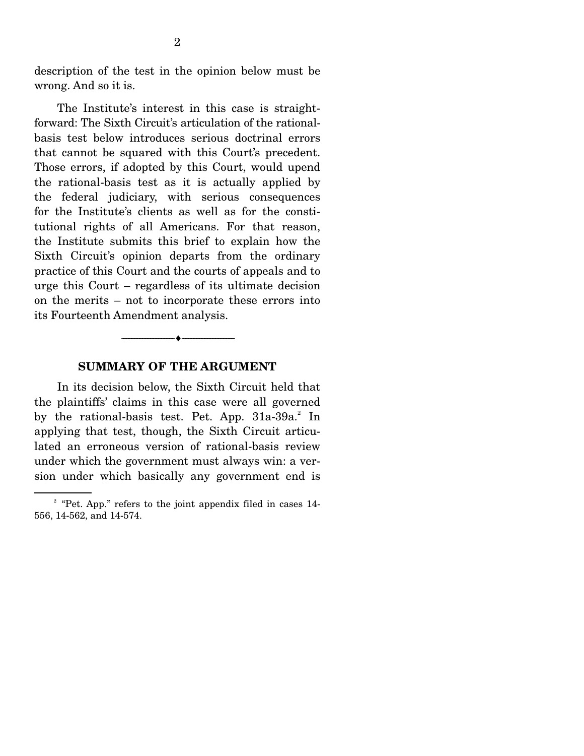<span id="page-7-0"></span>description of the test in the opinion below must be wrong. And so it is.

The Institute's interest in this case is straightforward: The Sixth Circuit's articulation of the rationalbasis test below introduces serious doctrinal errors that cannot be squared with this Court's precedent. Those errors, if adopted by this Court, would upend the rational-basis test as it is actually applied by the federal judiciary, with serious consequences for the Institute's clients as well as for the constitutional rights of all Americans. For that reason, the Institute submits this brief to explain how the Sixth Circuit's opinion departs from the ordinary practice of this Court and the courts of appeals and to urge this Court – regardless of its ultimate decision on the merits – not to incorporate these errors into its Fourteenth Amendment analysis.

### **SUMMARY OF THE ARGUMENT**

-----------------------------------------------------------------

In its decision below, the Sixth Circuit held that the plaintiffs' claims in this case were all governed by the rational-basis test. Pet. App. 31a-39a.<sup>2</sup> In applying that test, though, the Sixth Circuit articulated an erroneous version of rational-basis review under which the government must always win: a version under which basically any government end is

 $2^{\circ}$  "Pet. App." refers to the joint appendix filed in cases 14-556, 14-562, and 14-574.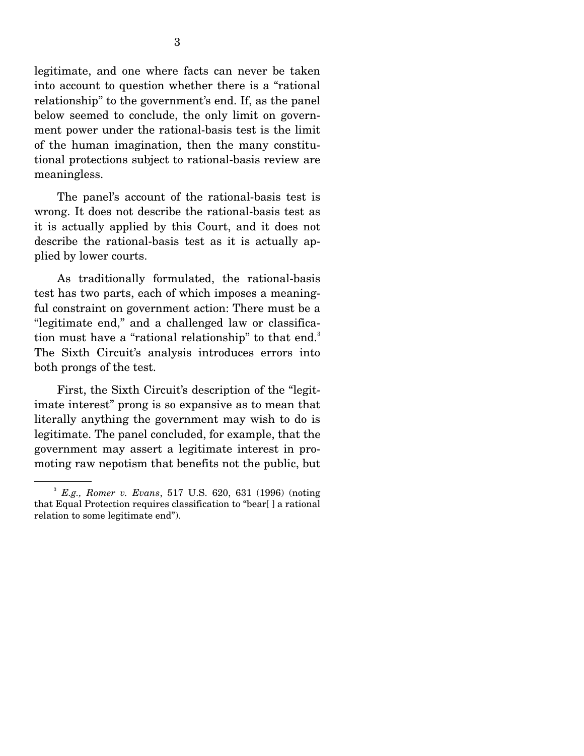legitimate, and one where facts can never be taken into account to question whether there is a "rational relationship" to the government's end. If, as the panel below seemed to conclude, the only limit on government power under the rational-basis test is the limit of the human imagination, then the many constitutional protections subject to rational-basis review are meaningless.

The panel's account of the rational-basis test is wrong. It does not describe the rational-basis test as it is actually applied by this Court, and it does not describe the rational-basis test as it is actually applied by lower courts.

As traditionally formulated, the rational-basis test has two parts, each of which imposes a meaningful constraint on government action: There must be a "legitimate end," and a challenged law or classification must have a "rational relationship" to that end.<sup>3</sup> The Sixth Circuit's analysis introduces errors into both prongs of the test.

First, the Sixth Circuit's description of the "legitimate interest" prong is so expansive as to mean that literally anything the government may wish to do is legitimate. The panel concluded, for example, that the government may assert a legitimate interest in promoting raw nepotism that benefits not the public, but

<sup>3</sup>*E.g., Romer v. Evans*, 517 U.S. 620, 631 (1996) (noting that Equal Protection requires classification to "bear[ ] a rational relation to some legitimate end").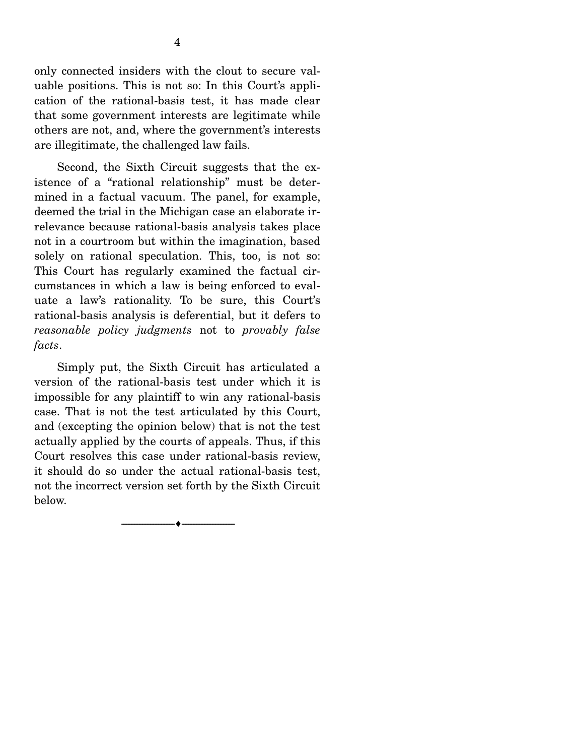only connected insiders with the clout to secure valuable positions. This is not so: In this Court's application of the rational-basis test, it has made clear that some government interests are legitimate while others are not, and, where the government's interests are illegitimate, the challenged law fails.

Second, the Sixth Circuit suggests that the existence of a "rational relationship" must be determined in a factual vacuum. The panel, for example, deemed the trial in the Michigan case an elaborate irrelevance because rational-basis analysis takes place not in a courtroom but within the imagination, based solely on rational speculation. This, too, is not so: This Court has regularly examined the factual circumstances in which a law is being enforced to evaluate a law's rationality. To be sure, this Court's rational-basis analysis is deferential, but it defers to *reasonable policy judgments* not to *provably false facts*.

Simply put, the Sixth Circuit has articulated a version of the rational-basis test under which it is impossible for any plaintiff to win any rational-basis case. That is not the test articulated by this Court, and (excepting the opinion below) that is not the test actually applied by the courts of appeals. Thus, if this Court resolves this case under rational-basis review, it should do so under the actual rational-basis test, not the incorrect version set forth by the Sixth Circuit below.

-----------------------------------------------------------------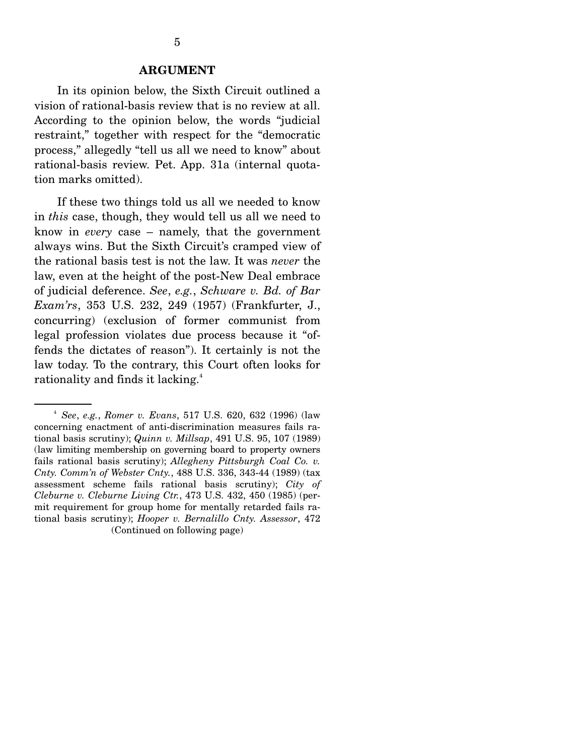#### **ARGUMENT**

<span id="page-10-0"></span>In its opinion below, the Sixth Circuit outlined a vision of rational-basis review that is no review at all. According to the opinion below, the words "judicial restraint," together with respect for the "democratic process," allegedly "tell us all we need to know" about rational-basis review. Pet. App. 31a (internal quotation marks omitted).

If these two things told us all we needed to know in *this* case, though, they would tell us all we need to know in *every* case – namely, that the government always wins. But the Sixth Circuit's cramped view of the rational basis test is not the law. It was *never* the law, even at the height of the post-New Deal embrace of judicial deference. *See*, *e.g.*, *Schware v. Bd. of Bar Exam'rs*, 353 U.S. 232, 249 (1957) (Frankfurter, J., concurring) (exclusion of former communist from legal profession violates due process because it "offends the dictates of reason"). It certainly is not the law today. To the contrary, this Court often looks for rationality and finds it lacking.<sup>4</sup>

 fails rational basis scrutiny); *Allegheny Pittsburgh Coal Co. v.*  <sup>4</sup>*See*, *e.g.*, *Romer v. Evans*, 517 U.S. 620, 632 (1996) (law concerning enactment of anti-discrimination measures fails rational basis scrutiny); *Quinn v. Millsap*, 491 U.S. 95, 107 (1989) (law limiting membership on governing board to property owners *Cnty. Comm'n of Webster Cnty.*, 488 U.S. 336, 343-44 (1989) (tax assessment scheme fails rational basis scrutiny); *City of Cleburne v. Cleburne Living Ctr.*, 473 U.S. 432, 450 (1985) (permit requirement for group home for mentally retarded fails rational basis scrutiny); *Hooper v. Bernalillo Cnty. Assessor*, 472 (Continued on following page)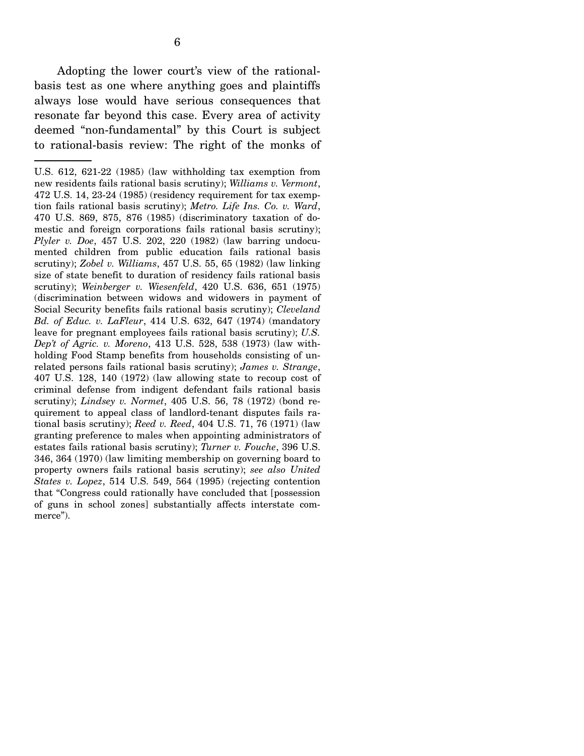<span id="page-11-0"></span>Adopting the lower court's view of the rationalbasis test as one where anything goes and plaintiffs always lose would have serious consequences that resonate far beyond this case. Every area of activity deemed "non-fundamental" by this Court is subject to rational-basis review: The right of the monks of

U.S. 612, 621-22 (1985) (law withholding tax exemption from new residents fails rational basis scrutiny); *Williams v. Vermont*, 472 U.S. 14, 23-24 (1985) (residency requirement for tax exemption fails rational basis scrutiny); *Metro. Life Ins. Co. v. Ward*, 470 U.S. 869, 875, 876 (1985) (discriminatory taxation of domestic and foreign corporations fails rational basis scrutiny); *Plyler v. Doe*, 457 U.S. 202, 220 (1982) (law barring undocumented children from public education fails rational basis scrutiny); *Zobel v. Williams*, 457 U.S. 55, 65 (1982) (law linking size of state benefit to duration of residency fails rational basis scrutiny); *Weinberger v. Wiesenfeld*, 420 U.S. 636, 651 (1975) (discrimination between widows and widowers in payment of Social Security benefits fails rational basis scrutiny); *Cleveland Bd. of Educ. v. LaFleur*, 414 U.S. 632, 647 (1974) (mandatory leave for pregnant employees fails rational basis scrutiny); *U.S. Dep't of Agric. v. Moreno*, 413 U.S. 528, 538 (1973) (law withholding Food Stamp benefits from households consisting of unrelated persons fails rational basis scrutiny); *James v. Strange*, 407 U.S. 128, 140 (1972) (law allowing state to recoup cost of criminal defense from indigent defendant fails rational basis scrutiny); *Lindsey v. Normet*, 405 U.S. 56, 78 (1972) (bond requirement to appeal class of landlord-tenant disputes fails rational basis scrutiny); *Reed v. Reed*, 404 U.S. 71, 76 (1971) (law granting preference to males when appointing administrators of estates fails rational basis scrutiny); *Turner v. Fouche*, 396 U.S. 346, 364 (1970) (law limiting membership on governing board to property owners fails rational basis scrutiny); *see also United States v. Lopez*, 514 U.S. 549, 564 (1995) (rejecting contention that "Congress could rationally have concluded that [possession of guns in school zones] substantially affects interstate commerce").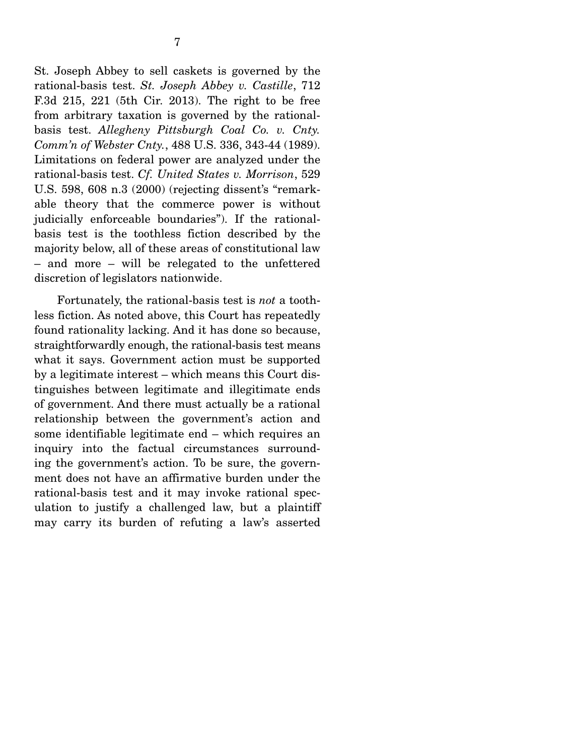<span id="page-12-0"></span>St. Joseph Abbey to sell caskets is governed by the rational-basis test. *St. Joseph Abbey v. Castille*, 712 F.3d 215, 221 (5th Cir. 2013). The right to be free from arbitrary taxation is governed by the rationalbasis test. *Allegheny Pittsburgh Coal Co. v. Cnty. Comm'n of Webster Cnty.*, 488 U.S. 336, 343-44 (1989). Limitations on federal power are analyzed under the rational-basis test. *Cf. United States v. Morrison*, 529 U.S. 598, 608 n.3 (2000) (rejecting dissent's "remarkable theory that the commerce power is without judicially enforceable boundaries"). If the rationalbasis test is the toothless fiction described by the majority below, all of these areas of constitutional law – and more – will be relegated to the unfettered discretion of legislators nationwide.

Fortunately, the rational-basis test is *not* a toothless fiction. As noted above, this Court has repeatedly found rationality lacking. And it has done so because, straightforwardly enough, the rational-basis test means what it says. Government action must be supported by a legitimate interest – which means this Court distinguishes between legitimate and illegitimate ends of government. And there must actually be a rational relationship between the government's action and some identifiable legitimate end – which requires an inquiry into the factual circumstances surrounding the government's action. To be sure, the government does not have an affirmative burden under the rational-basis test and it may invoke rational speculation to justify a challenged law, but a plaintiff may carry its burden of refuting a law's asserted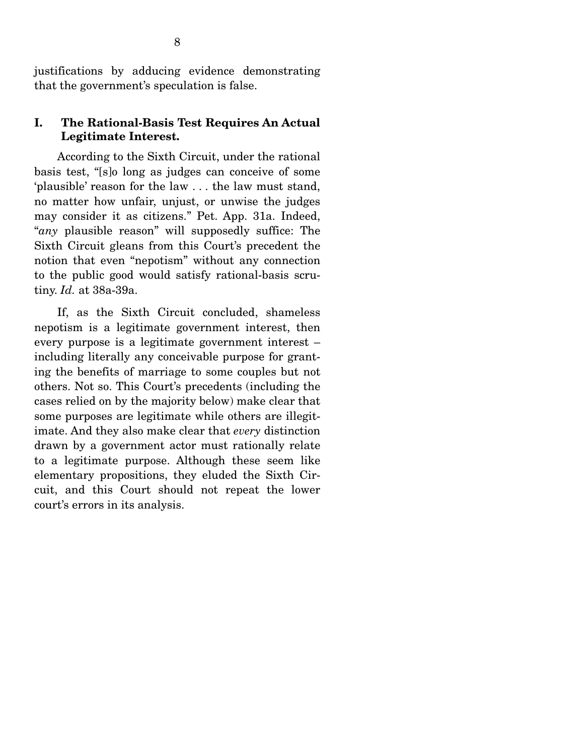<span id="page-13-0"></span>justifications by adducing evidence demonstrating that the government's speculation is false.

### **I. The Rational-Basis Test Requires An Actual Legitimate Interest.**

According to the Sixth Circuit, under the rational basis test, "[s]o long as judges can conceive of some 'plausible' reason for the law . . . the law must stand, no matter how unfair, unjust, or unwise the judges may consider it as citizens." Pet. App. 31a. Indeed, "*any* plausible reason" will supposedly suffice: The Sixth Circuit gleans from this Court's precedent the notion that even "nepotism" without any connection to the public good would satisfy rational-basis scrutiny. *Id.* at 38a-39a.

If, as the Sixth Circuit concluded, shameless nepotism is a legitimate government interest, then every purpose is a legitimate government interest – including literally any conceivable purpose for granting the benefits of marriage to some couples but not others. Not so. This Court's precedents (including the cases relied on by the majority below) make clear that some purposes are legitimate while others are illegitimate. And they also make clear that *every* distinction drawn by a government actor must rationally relate to a legitimate purpose. Although these seem like elementary propositions, they eluded the Sixth Circuit, and this Court should not repeat the lower court's errors in its analysis.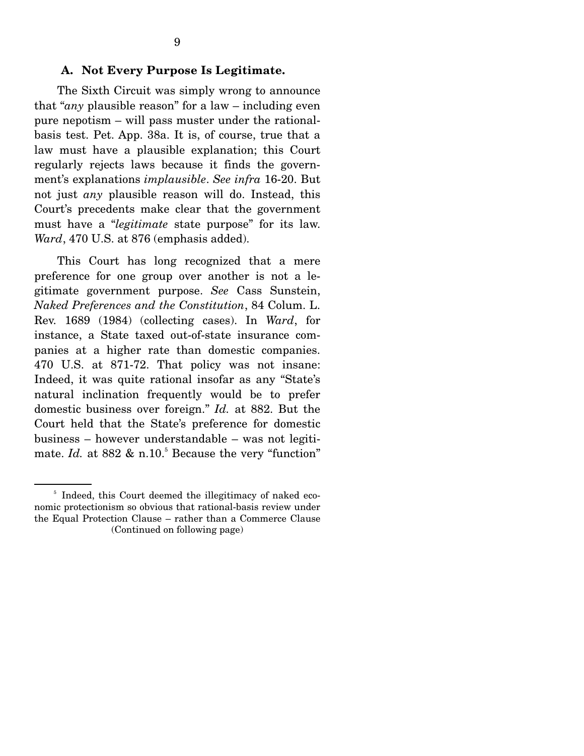#### <span id="page-14-0"></span> **A. Not Every Purpose Is Legitimate.**

The Sixth Circuit was simply wrong to announce that "*any* plausible reason" for a law – including even pure nepotism – will pass muster under the rationalbasis test. Pet. App. 38a. It is, of course, true that a law must have a plausible explanation; this Court regularly rejects laws because it finds the government's explanations *implausible*. *See infra* 16-20. But not just *any* plausible reason will do. Instead, this Court's precedents make clear that the government must have a "*legitimate* state purpose" for its law. *Ward*, 470 U.S. at 876 (emphasis added).

This Court has long recognized that a mere preference for one group over another is not a legitimate government purpose. *See* Cass Sunstein, *Naked Preferences and the Constitution*, 84 Colum. L. Rev. 1689 (1984) (collecting cases). In *Ward*, for instance, a State taxed out-of-state insurance companies at a higher rate than domestic companies. 470 U.S. at 871-72. That policy was not insane: Indeed, it was quite rational insofar as any "State's natural inclination frequently would be to prefer domestic business over foreign." *Id.* at 882. But the Court held that the State's preference for domestic business – however understandable – was not legitimate. *Id.* at  $882 \& n.10$ <sup>5</sup> Because the very "function"

<sup>&</sup>lt;sup>5</sup> Indeed, this Court deemed the illegitimacy of naked economic protectionism so obvious that rational-basis review under the Equal Protection Clause – rather than a Commerce Clause (Continued on following page)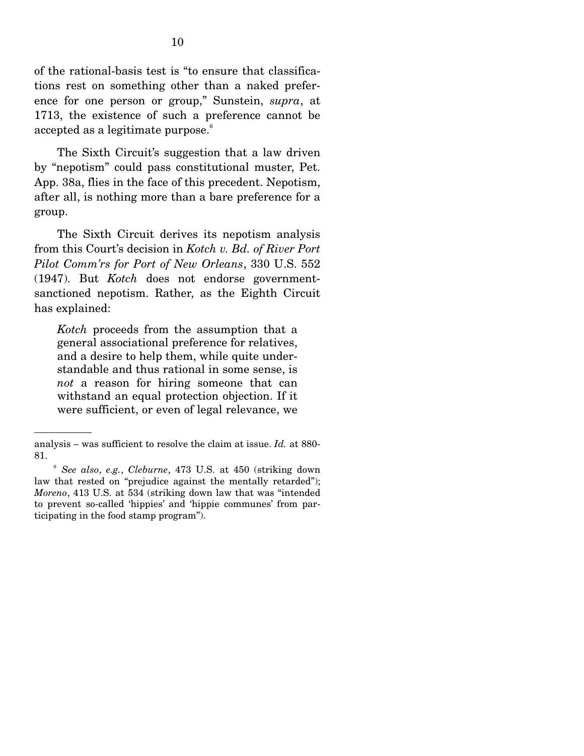<span id="page-15-0"></span>accepted as a legitimate purpose.<sup>6</sup> of the rational-basis test is "to ensure that classifications rest on something other than a naked preference for one person or group," Sunstein, *supra*, at 1713, the existence of such a preference cannot be

The Sixth Circuit's suggestion that a law driven by "nepotism" could pass constitutional muster, Pet. App. 38a, flies in the face of this precedent. Nepotism, after all, is nothing more than a bare preference for a group.

The Sixth Circuit derives its nepotism analysis from this Court's decision in *Kotch v. Bd. of River Port Pilot Comm'rs for Port of New Orleans*, 330 U.S. 552 (1947). But *Kotch* does not endorse governmentsanctioned nepotism. Rather, as the Eighth Circuit has explained:

*Kotch* proceeds from the assumption that a general associational preference for relatives, and a desire to help them, while quite understandable and thus rational in some sense, is *not* a reason for hiring someone that can withstand an equal protection objection. If it were sufficient, or even of legal relevance, we

analysis – was sufficient to resolve the claim at issue. *Id.* at 880 81. 6 *See also*, *e.g.*, *Cleburne*, 473 U.S. at 450 (striking down

law that rested on "prejudice against the mentally retarded"); *Moreno*, 413 U.S. at 534 (striking down law that was "intended to prevent so-called 'hippies' and 'hippie communes' from participating in the food stamp program").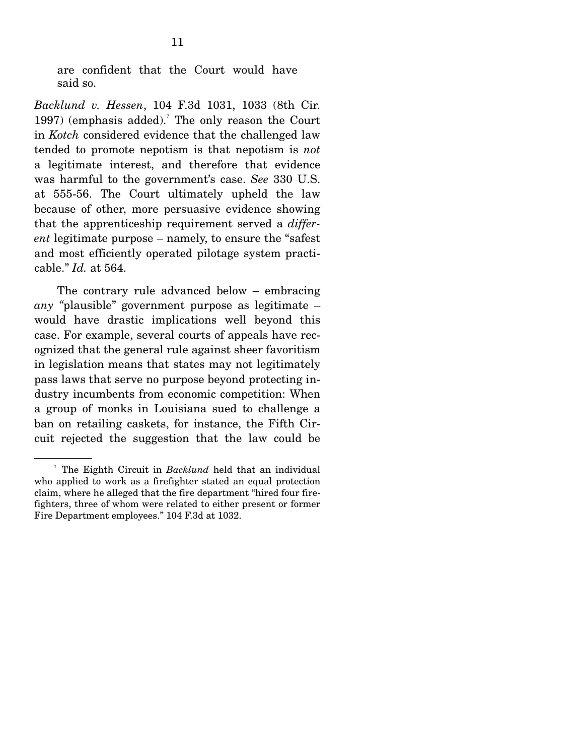<span id="page-16-0"></span>are confident that the Court would have said so.

*Backlund v. Hessen*, 104 F.3d 1031, 1033 (8th Cir. 1997) (emphasis added).<sup>7</sup> The only reason the Court in *Kotch* considered evidence that the challenged law tended to promote nepotism is that nepotism is *not*  a legitimate interest, and therefore that evidence was harmful to the government's case. *See* 330 U.S. at 555-56. The Court ultimately upheld the law because of other, more persuasive evidence showing that the apprenticeship requirement served a *different* legitimate purpose – namely, to ensure the "safest and most efficiently operated pilotage system practicable." *Id.* at 564.

The contrary rule advanced below – embracing *any "*plausible" government purpose as legitimate – would have drastic implications well beyond this case. For example, several courts of appeals have recognized that the general rule against sheer favoritism in legislation means that states may not legitimately pass laws that serve no purpose beyond protecting industry incumbents from economic competition: When a group of monks in Louisiana sued to challenge a ban on retailing caskets, for instance, the Fifth Circuit rejected the suggestion that the law could be

<sup>7</sup> The Eighth Circuit in *Backlund* held that an individual who applied to work as a firefighter stated an equal protection claim, where he alleged that the fire department "hired four firefighters, three of whom were related to either present or former Fire Department employees." 104 F.3d at 1032.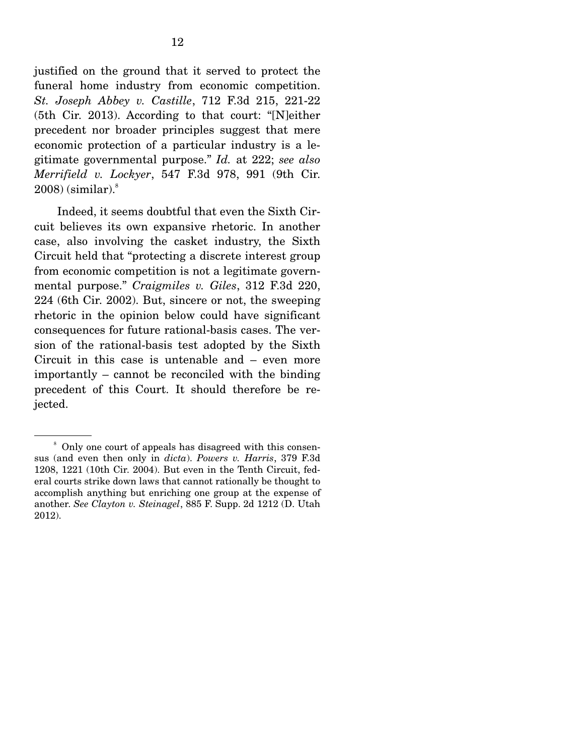<span id="page-17-0"></span> $2008$ ) (similar). $8$ justified on the ground that it served to protect the funeral home industry from economic competition. *St. Joseph Abbey v. Castille*, 712 F.3d 215, 221-22 (5th Cir. 2013). According to that court: "[N]either precedent nor broader principles suggest that mere economic protection of a particular industry is a legitimate governmental purpose." *Id.* at 222; *see also Merrifield v. Lockyer*, 547 F.3d 978, 991 (9th Cir.

Indeed, it seems doubtful that even the Sixth Circuit believes its own expansive rhetoric. In another case, also involving the casket industry, the Sixth Circuit held that "protecting a discrete interest group from economic competition is not a legitimate governmental purpose." *Craigmiles v. Giles*, 312 F.3d 220, 224 (6th Cir. 2002). But, sincere or not, the sweeping rhetoric in the opinion below could have significant consequences for future rational-basis cases. The version of the rational-basis test adopted by the Sixth Circuit in this case is untenable and – even more importantly – cannot be reconciled with the binding precedent of this Court. It should therefore be rejected.

<sup>8</sup> Only one court of appeals has disagreed with this consensus (and even then only in *dicta*). *Powers v. Harris*, 379 F.3d 1208, 1221 (10th Cir. 2004). But even in the Tenth Circuit, federal courts strike down laws that cannot rationally be thought to accomplish anything but enriching one group at the expense of another. *See Clayton v. Steinagel*, 885 F. Supp. 2d 1212 (D. Utah 2012).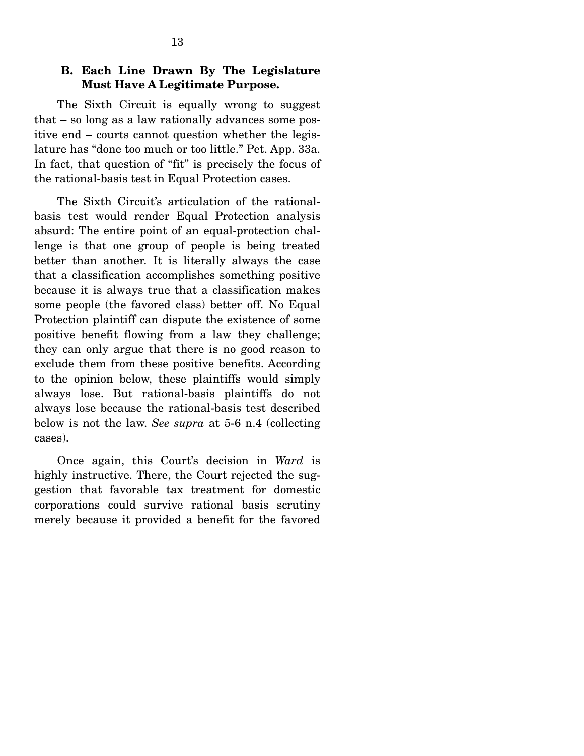## <span id="page-18-0"></span>**B. Each Line Drawn By The Legislature Must Have A Legitimate Purpose.**

The Sixth Circuit is equally wrong to suggest that – so long as a law rationally advances some positive end – courts cannot question whether the legislature has "done too much or too little." Pet. App. 33a. In fact, that question of "fit" is precisely the focus of the rational-basis test in Equal Protection cases.

The Sixth Circuit's articulation of the rationalbasis test would render Equal Protection analysis absurd: The entire point of an equal-protection challenge is that one group of people is being treated better than another. It is literally always the case that a classification accomplishes something positive because it is always true that a classification makes some people (the favored class) better off. No Equal Protection plaintiff can dispute the existence of some positive benefit flowing from a law they challenge; they can only argue that there is no good reason to exclude them from these positive benefits. According to the opinion below, these plaintiffs would simply always lose. But rational-basis plaintiffs do not always lose because the rational-basis test described below is not the law. *See supra* at 5-6 n.4 (collecting cases).

Once again, this Court's decision in *Ward* is highly instructive. There, the Court rejected the suggestion that favorable tax treatment for domestic corporations could survive rational basis scrutiny merely because it provided a benefit for the favored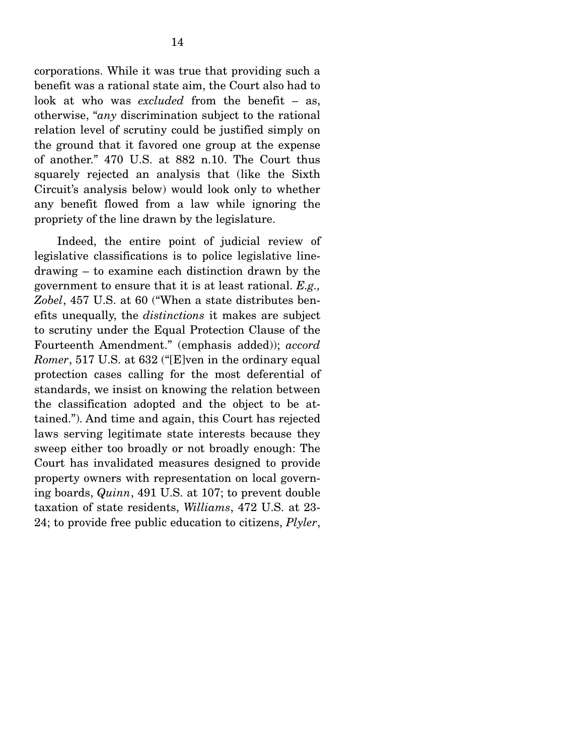<span id="page-19-0"></span>corporations. While it was true that providing such a benefit was a rational state aim, the Court also had to look at who was *excluded* from the benefit – as, otherwise, "*any* discrimination subject to the rational relation level of scrutiny could be justified simply on the ground that it favored one group at the expense of another." 470 U.S. at 882 n.10. The Court thus squarely rejected an analysis that (like the Sixth Circuit's analysis below) would look only to whether any benefit flowed from a law while ignoring the propriety of the line drawn by the legislature.

Indeed, the entire point of judicial review of legislative classifications is to police legislative linedrawing – to examine each distinction drawn by the government to ensure that it is at least rational. *E.g., Zobel*, 457 U.S. at 60 ("When a state distributes benefits unequally, the *distinctions* it makes are subject to scrutiny under the Equal Protection Clause of the Fourteenth Amendment." (emphasis added)); *accord Romer*, 517 U.S. at 632 ("[E]ven in the ordinary equal protection cases calling for the most deferential of standards, we insist on knowing the relation between the classification adopted and the object to be attained."). And time and again, this Court has rejected laws serving legitimate state interests because they sweep either too broadly or not broadly enough: The Court has invalidated measures designed to provide property owners with representation on local governing boards, *Quinn*, 491 U.S. at 107; to prevent double taxation of state residents, *Williams*, 472 U.S. at 23 24; to provide free public education to citizens, *Plyler*,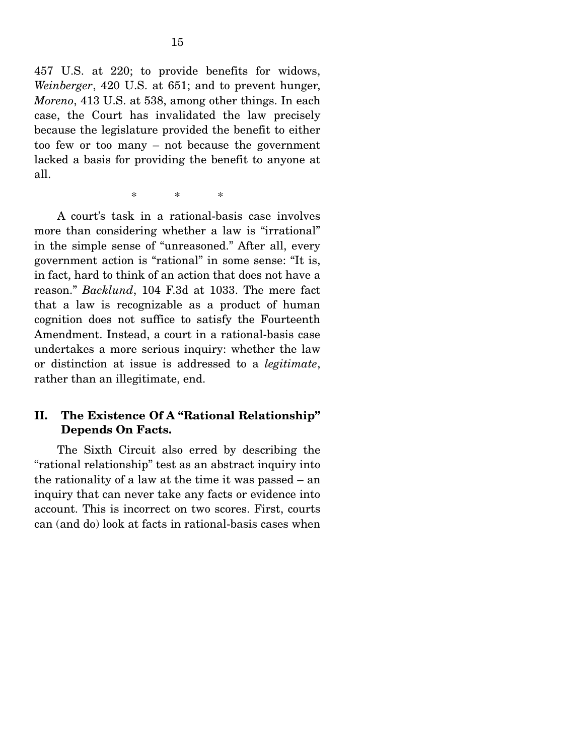<span id="page-20-0"></span>457 U.S. at 220; to provide benefits for widows, *Weinberger*, 420 U.S. at 651; and to prevent hunger, *Moreno*, 413 U.S. at 538, among other things. In each case, the Court has invalidated the law precisely because the legislature provided the benefit to either too few or too many – not because the government lacked a basis for providing the benefit to anyone at all.

> $\ast$ \* \* \*

A court's task in a rational-basis case involves more than considering whether a law is "irrational" in the simple sense of "unreasoned." After all, every government action is "rational" in some sense: "It is, in fact, hard to think of an action that does not have a reason." *Backlund*, 104 F.3d at 1033. The mere fact that a law is recognizable as a product of human cognition does not suffice to satisfy the Fourteenth Amendment. Instead, a court in a rational-basis case undertakes a more serious inquiry: whether the law or distinction at issue is addressed to a *legitimate*, rather than an illegitimate, end.

## **II. The Existence Of A "Rational Relationship" Depends On Facts.**

The Sixth Circuit also erred by describing the "rational relationship" test as an abstract inquiry into the rationality of a law at the time it was passed – an inquiry that can never take any facts or evidence into account. This is incorrect on two scores. First, courts can (and do) look at facts in rational-basis cases when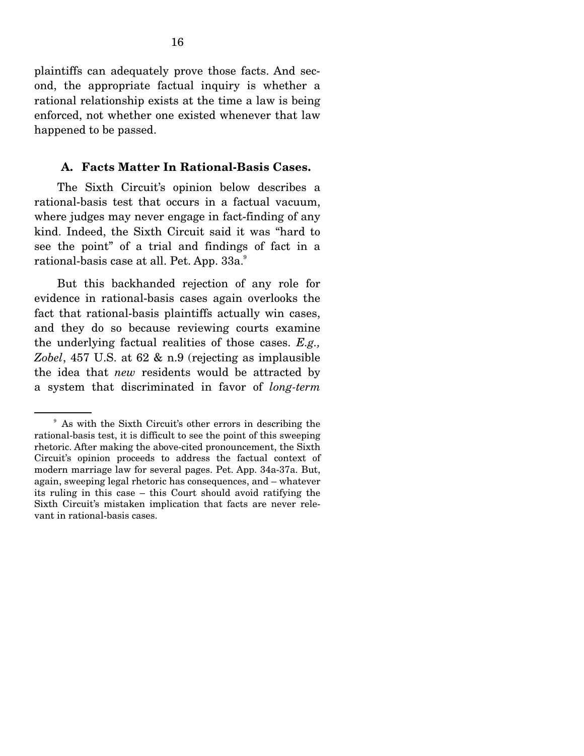<span id="page-21-0"></span>plaintiffs can adequately prove those facts. And second, the appropriate factual inquiry is whether a rational relationship exists at the time a law is being enforced, not whether one existed whenever that law happened to be passed.

#### **A. Facts Matter In Rational-Basis Cases.**

The Sixth Circuit's opinion below describes a rational-basis test that occurs in a factual vacuum, where judges may never engage in fact-finding of any kind. Indeed, the Sixth Circuit said it was "hard to see the point" of a trial and findings of fact in a rational-basis case at all. Pet. App. 33a.9

But this backhanded rejection of any role for evidence in rational-basis cases again overlooks the fact that rational-basis plaintiffs actually win cases, and they do so because reviewing courts examine the underlying factual realities of those cases. *E.g., Zobel*, 457 U.S. at 62 & n.9 (rejecting as implausible the idea that *new* residents would be attracted by a system that discriminated in favor of *long-term* 

<sup>&</sup>lt;sup>9</sup> As with the Sixth Circuit's other errors in describing the rational-basis test, it is difficult to see the point of this sweeping rhetoric. After making the above-cited pronouncement, the Sixth Circuit's opinion proceeds to address the factual context of modern marriage law for several pages. Pet. App. 34a-37a. But, again, sweeping legal rhetoric has consequences, and – whatever its ruling in this case – this Court should avoid ratifying the Sixth Circuit's mistaken implication that facts are never relevant in rational-basis cases.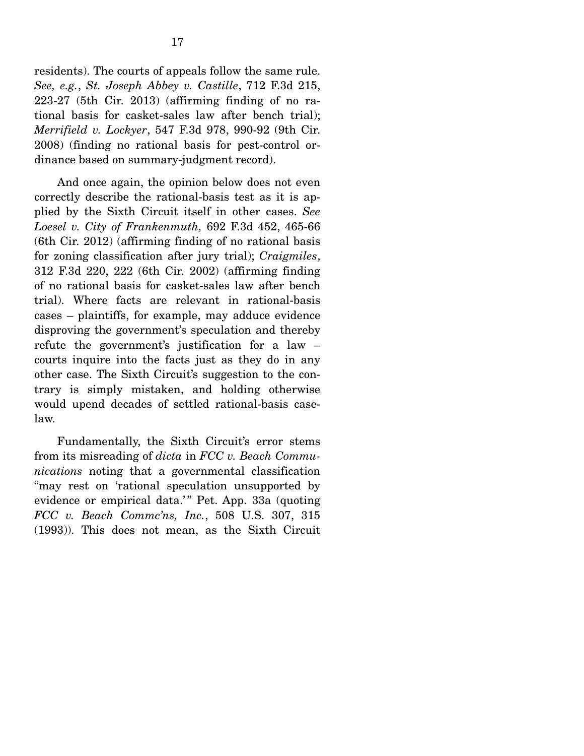<span id="page-22-0"></span>residents). The courts of appeals follow the same rule. *See, e.g.*, *St. Joseph Abbey v. Castille*, 712 F.3d 215, 223-27 (5th Cir. 2013) (affirming finding of no rational basis for casket-sales law after bench trial); *Merrifield v. Lockyer*, 547 F.3d 978, 990-92 (9th Cir. 2008) (finding no rational basis for pest-control ordinance based on summary-judgment record).

And once again, the opinion below does not even correctly describe the rational-basis test as it is applied by the Sixth Circuit itself in other cases. *See Loesel v. City of Frankenmuth,* 692 F.3d 452, 465-66 (6th Cir. 2012) (affirming finding of no rational basis for zoning classification after jury trial); *Craigmiles*, 312 F.3d 220, 222 (6th Cir. 2002) (affirming finding of no rational basis for casket-sales law after bench trial). Where facts are relevant in rational-basis cases – plaintiffs, for example, may adduce evidence disproving the government's speculation and thereby refute the government's justification for a law – courts inquire into the facts just as they do in any other case. The Sixth Circuit's suggestion to the contrary is simply mistaken, and holding otherwise would upend decades of settled rational-basis caselaw.

Fundamentally, the Sixth Circuit's error stems from its misreading of *dicta* in *FCC v. Beach Communications* noting that a governmental classification "may rest on 'rational speculation unsupported by evidence or empirical data.'" Pet. App. 33a (quoting *FCC v. Beach Commc'ns, Inc.*, 508 U.S. 307, 315 (1993)). This does not mean, as the Sixth Circuit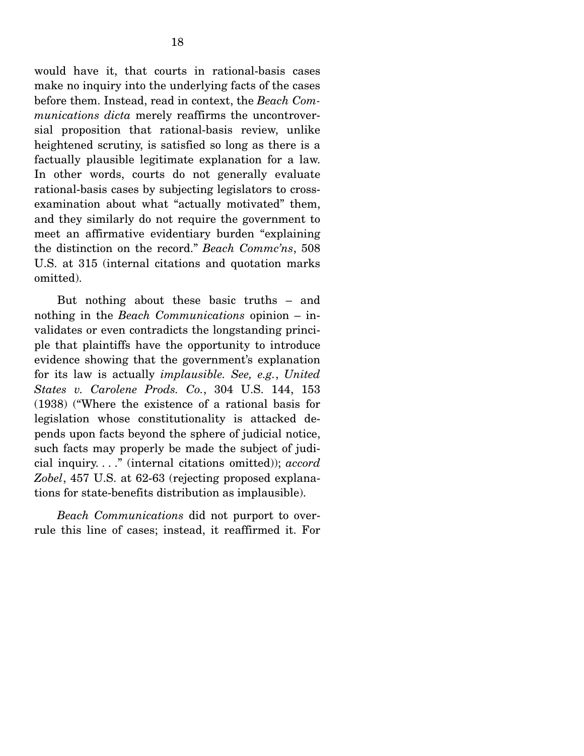would have it, that courts in rational-basis cases make no inquiry into the underlying facts of the cases before them. Instead, read in context, the *Beach Communications dicta* merely reaffirms the uncontroversial proposition that rational-basis review, unlike heightened scrutiny, is satisfied so long as there is a factually plausible legitimate explanation for a law. In other words, courts do not generally evaluate rational-basis cases by subjecting legislators to crossexamination about what "actually motivated" them, and they similarly do not require the government to meet an affirmative evidentiary burden "explaining the distinction on the record." *Beach Commc'ns*, 508 U.S. at 315 (internal citations and quotation marks omitted).

But nothing about these basic truths – and nothing in the *Beach Communications* opinion – invalidates or even contradicts the longstanding principle that plaintiffs have the opportunity to introduce evidence showing that the government's explanation for its law is actually *implausible. See, e.g.*, *United States v. Carolene Prods. Co.*, 304 U.S. 144, 153 (1938) ("Where the existence of a rational basis for legislation whose constitutionality is attacked depends upon facts beyond the sphere of judicial notice, such facts may properly be made the subject of judicial inquiry. . . ." (internal citations omitted)); *accord Zobel*, 457 U.S. at 62-63 (rejecting proposed explanations for state-benefits distribution as implausible).

*Beach Communications* did not purport to overrule this line of cases; instead, it reaffirmed it. For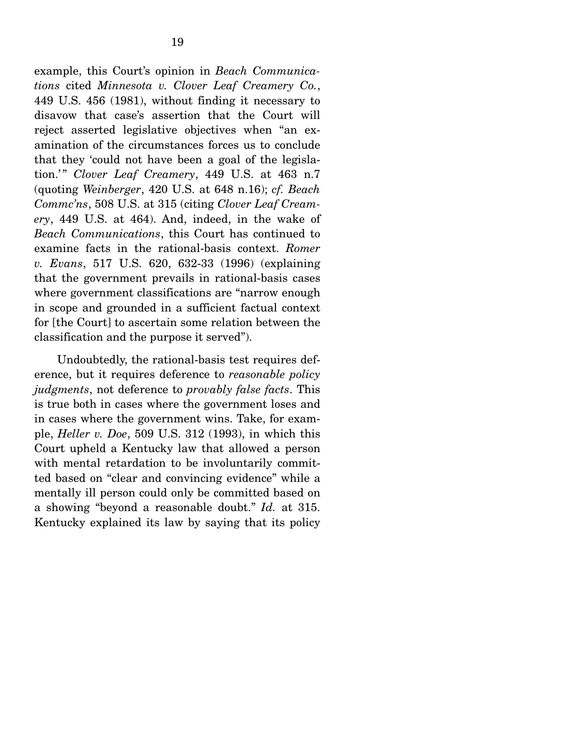<span id="page-24-0"></span>example, this Court's opinion in *Beach Communications* cited *Minnesota v. Clover Leaf Creamery Co.*, 449 U.S. 456 (1981), without finding it necessary to disavow that case's assertion that the Court will reject asserted legislative objectives when "an examination of the circumstances forces us to conclude that they 'could not have been a goal of the legislation.'" *Clover Leaf Creamery*, 449 U.S. at 463 n.7 (quoting *Weinberger*, 420 U.S. at 648 n.16); *cf. Beach Commc'ns*, 508 U.S. at 315 (citing *Clover Leaf Creamery*, 449 U.S. at 464). And, indeed, in the wake of *Beach Communications*, this Court has continued to examine facts in the rational-basis context. *Romer v. Evans*, 517 U.S. 620, 632-33 (1996) (explaining that the government prevails in rational-basis cases where government classifications are "narrow enough in scope and grounded in a sufficient factual context for [the Court] to ascertain some relation between the classification and the purpose it served").

Undoubtedly, the rational-basis test requires deference, but it requires deference to *reasonable policy judgments*, not deference to *provably false facts*. This is true both in cases where the government loses and in cases where the government wins. Take, for example, *Heller v. Doe*, 509 U.S. 312 (1993), in which this Court upheld a Kentucky law that allowed a person with mental retardation to be involuntarily committed based on "clear and convincing evidence" while a mentally ill person could only be committed based on a showing "beyond a reasonable doubt." *Id.* at 315. Kentucky explained its law by saying that its policy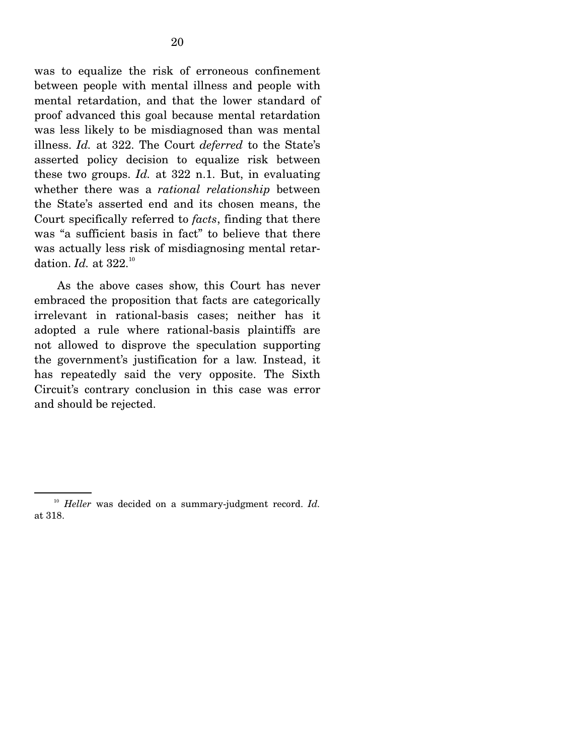<span id="page-25-0"></span>dation. *Id.* at 322.<sup>10</sup> was to equalize the risk of erroneous confinement between people with mental illness and people with mental retardation, and that the lower standard of proof advanced this goal because mental retardation was less likely to be misdiagnosed than was mental illness. *Id.* at 322. The Court *deferred* to the State's asserted policy decision to equalize risk between these two groups. *Id.* at 322 n.1. But, in evaluating whether there was a *rational relationship* between the State's asserted end and its chosen means, the Court specifically referred to *facts*, finding that there was "a sufficient basis in fact" to believe that there was actually less risk of misdiagnosing mental retar-

As the above cases show, this Court has never embraced the proposition that facts are categorically irrelevant in rational-basis cases; neither has it adopted a rule where rational-basis plaintiffs are not allowed to disprove the speculation supporting the government's justification for a law. Instead, it has repeatedly said the very opposite. The Sixth Circuit's contrary conclusion in this case was error and should be rejected.

<sup>&</sup>lt;sup>10</sup> Heller was decided on a summary-judgment record. *Id.* at 318.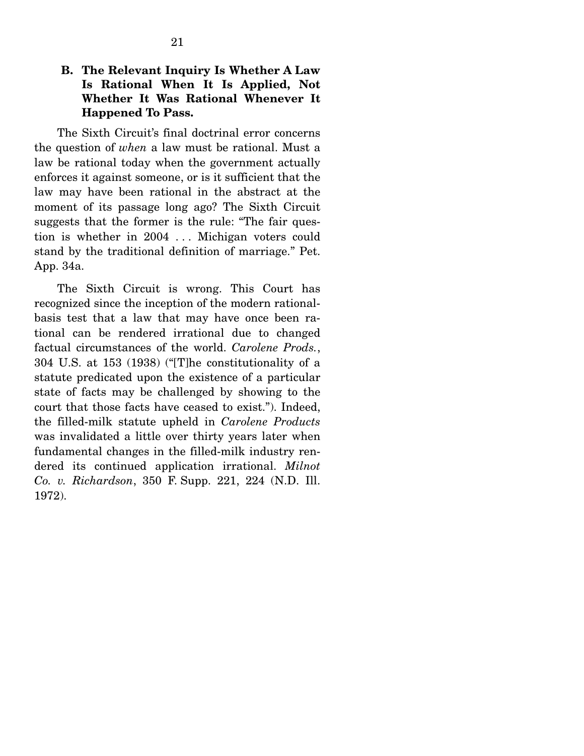## <span id="page-26-0"></span>**B. The Relevant Inquiry Is Whether A Law Is Rational When It Is Applied, Not Whether It Was Rational Whenever It Happened To Pass.**

The Sixth Circuit's final doctrinal error concerns the question of *when* a law must be rational. Must a law be rational today when the government actually enforces it against someone, or is it sufficient that the law may have been rational in the abstract at the moment of its passage long ago? The Sixth Circuit suggests that the former is the rule: "The fair question is whether in 2004 . . . Michigan voters could stand by the traditional definition of marriage." Pet. App. 34a.

The Sixth Circuit is wrong. This Court has recognized since the inception of the modern rationalbasis test that a law that may have once been rational can be rendered irrational due to changed factual circumstances of the world. *Carolene Prods.*, 304 U.S. at 153 (1938) ("[T]he constitutionality of a statute predicated upon the existence of a particular state of facts may be challenged by showing to the court that those facts have ceased to exist."). Indeed, the filled-milk statute upheld in *Carolene Products*  was invalidated a little over thirty years later when fundamental changes in the filled-milk industry rendered its continued application irrational. *Milnot Co. v. Richardson*, 350 F. Supp. 221, 224 (N.D. Ill. 1972).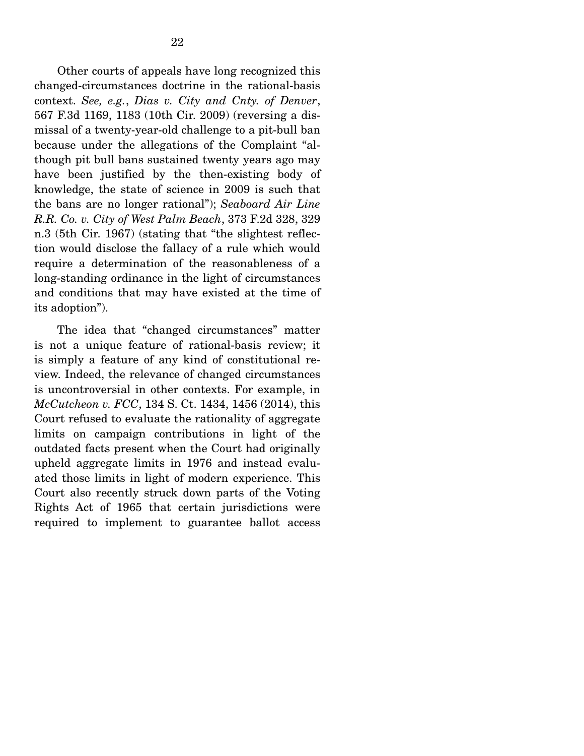<span id="page-27-0"></span>Other courts of appeals have long recognized this changed-circumstances doctrine in the rational-basis context. *See, e.g.*, *Dias v. City and Cnty. of Denver*, 567 F.3d 1169, 1183 (10th Cir. 2009) (reversing a dismissal of a twenty-year-old challenge to a pit-bull ban because under the allegations of the Complaint "although pit bull bans sustained twenty years ago may have been justified by the then-existing body of knowledge, the state of science in 2009 is such that the bans are no longer rational"); *Seaboard Air Line R.R. Co. v. City of West Palm Beach*, 373 F.2d 328, 329 n.3 (5th Cir. 1967) (stating that "the slightest reflection would disclose the fallacy of a rule which would require a determination of the reasonableness of a long-standing ordinance in the light of circumstances and conditions that may have existed at the time of its adoption").

The idea that "changed circumstances" matter is not a unique feature of rational-basis review; it is simply a feature of any kind of constitutional review. Indeed, the relevance of changed circumstances is uncontroversial in other contexts. For example, in *McCutcheon v. FCC*, 134 S. Ct. 1434, 1456 (2014), this Court refused to evaluate the rationality of aggregate limits on campaign contributions in light of the outdated facts present when the Court had originally upheld aggregate limits in 1976 and instead evaluated those limits in light of modern experience. This Court also recently struck down parts of the Voting Rights Act of 1965 that certain jurisdictions were required to implement to guarantee ballot access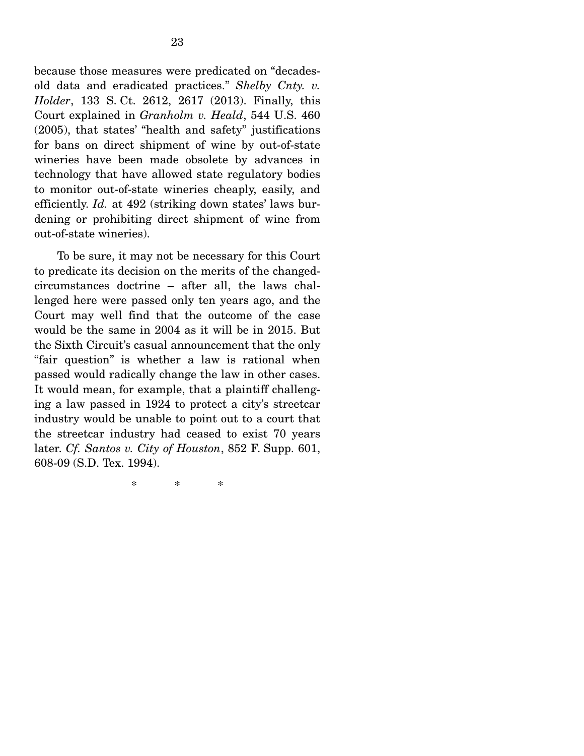<span id="page-28-0"></span>because those measures were predicated on "decadesold data and eradicated practices." *Shelby Cnty. v. Holder*, 133 S. Ct. 2612, 2617 (2013). Finally, this Court explained in *Granholm v. Heald*, 544 U.S. 460 (2005), that states' "health and safety" justifications for bans on direct shipment of wine by out-of-state wineries have been made obsolete by advances in technology that have allowed state regulatory bodies to monitor out-of-state wineries cheaply, easily, and efficiently. *Id.* at 492 (striking down states' laws burdening or prohibiting direct shipment of wine from out-of-state wineries).

To be sure, it may not be necessary for this Court to predicate its decision on the merits of the changedcircumstances doctrine – after all, the laws challenged here were passed only ten years ago, and the Court may well find that the outcome of the case would be the same in 2004 as it will be in 2015. But the Sixth Circuit's casual announcement that the only "fair question" is whether a law is rational when passed would radically change the law in other cases. It would mean, for example, that a plaintiff challenging a law passed in 1924 to protect a city's streetcar industry would be unable to point out to a court that the streetcar industry had ceased to exist 70 years later. *Cf. Santos v. City of Houston*, 852 F. Supp. 601, 608-09 (S.D. Tex. 1994).

> $\ast$ \* \* \*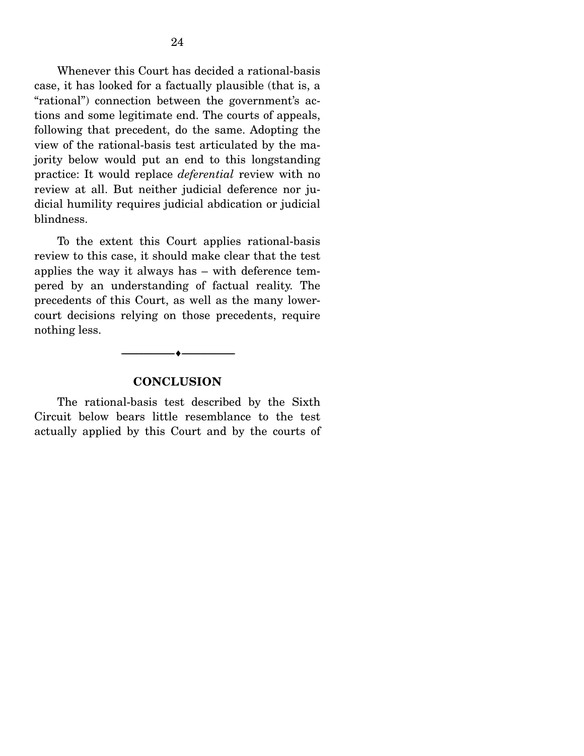<span id="page-29-0"></span>Whenever this Court has decided a rational-basis case, it has looked for a factually plausible (that is, a "rational") connection between the government's actions and some legitimate end. The courts of appeals, following that precedent, do the same. Adopting the view of the rational-basis test articulated by the majority below would put an end to this longstanding practice: It would replace *deferential* review with no review at all. But neither judicial deference nor judicial humility requires judicial abdication or judicial blindness.

To the extent this Court applies rational-basis review to this case, it should make clear that the test applies the way it always has – with deference tempered by an understanding of factual reality. The precedents of this Court, as well as the many lowercourt decisions relying on those precedents, require nothing less.

#### **CONCLUSION**

-----------------------------------------------------------------

The rational-basis test described by the Sixth Circuit below bears little resemblance to the test actually applied by this Court and by the courts of